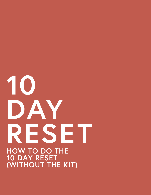# 10 DAY RESET **HOW TO DO THE 10 DAY RESET (WITHOUT THE KIT)**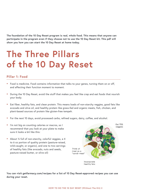**The foundation of the 10 Day Reset program is real, whole food. This means that anyone can participate in the program even if they choose not to use the 10 Day Reset kit. This pdf will show you how you can start the 10 Day Reset at home today.** 

## **The Three Pillars of the 10 Day Reset**

### **Pillar 1: Food**

- Food is medicine. Food contains information that talks to your genes, turning them on or off, and affecting their function moment to moment.
- During the 10 Day Reset, avoid the stuff that makes you feel like crap and eat foods that nourish your body.
- Eat fiber, healthy fats, and clean protein. This means loads of non-starchy veggies, good fats like avocado and olive oil, and healthy protein like grass-fed and organic meats, fish, chicken, and plant-based sources of protein like gluten-free tempeh.
- For the next 10 days, avoid processed carbs, refined sugars, dairy, coffee, and alcohol.
- I'm not big on counting calories or macros, so I recommend that you look at your plate to make sure it looks a bit like this:
- About ¾ full of non-starchy, colorful veggies, a 4 to 6 oz portion of quality protein (pasture-raised, wild-caught, or organic), and one to two servings of healthy fats (like avocado, nuts and seeds, pasture-raised butter, or olive oil)



**You can visit getfarmacy.com/recipes for a list of 10 Day Reset-approved recipes you can use during your reset.**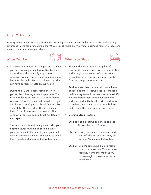#### **Pillar 2: Habits**

Moving toward your best health requires focusing on daily, impactful habits that will make a huge difference in the long run. During the 10 Day Reset, there are two very important habits to focus on: when you eat and when you sleep.

#### **When You Eat**



**•** *When* you eat might be as important as what you eat. So many of us deprioritize balanced meals during the day only to gorge on whatever we can find in the evening or snack late into the night. Research shows that this can have adverse effects on our health.

 During the 10 Day Reset, focus on when you eat by following some simple rules. The first is to leave at least a 12-14 hour fasting window between dinner and breakfast. If you eat dinner at 6:30 pm, eat breakfast at 6:30 am or later the next day. This is the most basic form of time-restricted eating. This window gives your body a break to detoxify and repair.

 The next rule is to eat in alignment with your body's natural rhythms. If possible, have your first meal in the morning and your last meal in the early evening. The key is to avoid heavy meals and snacking before bedtime.

**When You Sleep** 



**•** Sleep is the most underrated pillar of health—it comes before exercise, meditation, and it might even come before nutrition. Other than what you eat, we want you to focus on deep, restorative rest.

 Studies show that routine helps us achieve deeper and more restful sleep. So choose a bedtime, try to avoid screens for at least 45 minutes before bed, keep your room dark and cool, and actively relax with meditation, stretching, journaling, or gratitude before bed. This is the time to prioritize yourself.

- **• Evening Sleep Routine**
	- **Step 1:** Set a bedtime and try to stick to it over the next 10 days.
	- **Step 2:** Turn your phone on airplane mode, shut off the TV, and put away all devices 45 minutes before bed.
	- **Step 3:** Use the remaining time to focus on active relaxation. This includes reading, journaling, meditation, or meaningful conversation with loved ones.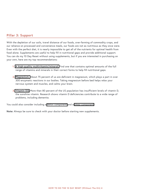#### **Pillar 3: Support**

With the depletion of our soils, travel distance of our foods, over-farming of commodity crops, and our reliance on processed and convenience meals, our foods are not as nutritious as they once were. Even with the perfect diet, it is nearly impossible to get all of the nutrients for optimal health from food alone. Supplements are useful to help fill in nutritional gaps and provide additional support. You can do my 10 Day Reset without using supplements, but if you are interested in purchasing on your own, here are my top recommendations:

- **1. [A high-quality multivitamin/mineral.](https://store.drhyman.com/supplements-1/phytomulti-120s.html)** Find one that contains optimal amounts of the full range of vitamins and minerals in their correct forms to help fill nutritional gaps.
- **2. [Magnesium.](https://store.drhyman.com/magnesium-glycinate-120mg-90-ct.html)** About 75 percent of us are deficient in magnesium, which plays a part in over 300 enzymatic reactions in our bodies. Taking magnesium before bed helps relax your nervous system and muscles, and calms your brain.
- **3. [Vitamin D3.](https://store.drhyman.com/vitamin-d3-1000-iu-60-ct.html)** More than 80 percent of the US population has insufficient levels of vitamin D, the sunshine vitamin. Research shows vitamin D deficiencies contribute to a wide range of problems, including dementia.

You could also consider including a [detox component](https://store.drhyman.com/liver-g-i-detox.html) and a [sleep component.](https://store.drhyman.com/best-rest-formula.html)

**Note:** Always be sure to check with your doctor before starting new supplements.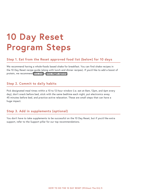## **10 Day Reset Program Steps**

### **Step 1. Eat from the Reset approved food list (below) for 10 days**

We recommend having a whole-foods based shake for breakfast. You can find shake recipes in the 10 Day Reset recipe guide (along with lunch and dinner recipes). If you'd like to add a boost of protein, we recommend [this one](https://store.drhyman.com/purepaleo-protein-natural-vanilla.html) or [this vegan option.](https://store.drhyman.com/organic-purepea-plus-w-greens-vanilla.html)

### **Step 2. Commit to daily habits**

Pick designated meal times within a 10 to 12-hour window (i.e. eat at 8am, 12pm, and 6pm every day), don't snack before bed, stick with the same bedtime each night, put electronics away 45 minutes before bed, and practice active relaxation. These are small steps that can have a huge impact.

### **Step 3. Add in supplements (optional)**

You don't have to take supplements to be successful on the 10 Day Reset, but if you'd like extra support, refer to the Support pillar for our top recommendations.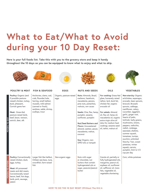# **What to Eat/What to Avoid during your 10 Day Reset:**

**Here is your full foods list. Take this with you to the grocery store and keep it handy throughout the 10 days so you can be equipped to know what to enjoy and what to skip.**













#### **POULTRY & MEAT FISH & SEAFOOD EGGS NUTS AND SEEDS OILS VEGETABLES**

| Poultry: Organic (and<br>if possible pasture-<br>raised) chicken, turkey,<br>duck, pheasant,<br>Cornish game hen<br>Meat: Grass-fed,<br>pasture-raised lamb,<br>beef, bison, venison,<br>ostrich, deer, elk | Anchovies, clams, cod,<br>crab, flounder/sole,<br>herring, small halibut,<br>mussels, wild salmon<br>(canned or fresh),<br>sardines, sable, shrimp,<br>scallops, trout | Organic, pasture-raised<br>eggs | Nuts: Almonds, Brazil,<br>cashews, hazelnuts,<br>macadamia, pecans,<br>pine nuts, pistachios,<br>walnuts, raw cacao<br>Seeds: Chia, flax, hemp,<br>pumpkin, sesame,<br>sunflower, pumpkin<br>Nut/Seed Butters and<br>Flours: Unsweetened<br>almond, cashew, pecan,<br>macadamia, walnut,<br>coconut<br>Soy: Organic, non-<br>GMO tofu or tempeh | For cooking: Grass-fed<br>ghee, humanely raised<br>tallow, lard, duck fat,<br>chicken fat, organic<br>avocado oil<br>For salads: Almond<br>oil, flax oil, hemp oil,<br>macadamia oil, organic<br>extra-virgin olive oil<br>(also for medium heat<br>cooking), sesame seed<br>oil, tahini, walnut oil | Non-starchy: Organic<br>artichokes, asparagus,<br>avocado, bean sprouts,<br>broccoli, Brussels<br>sprouts, cabbage,<br>cauliflower, celery,<br>cucumber, eggplant,<br>garlic, ginger root,<br>hearts of palm,<br>kohlrabi, leafy greens,<br>mushrooms, onions,<br>peppers, radicchio,<br>radish, rutabaga,<br>seaweed, shallots,<br>summer squash,<br>tomatoes, turnips,<br>zucchini, unlimited<br>Starchy: Yam, sweet<br>potatoes, winter<br>squash, carrots,<br>pumpkin, limit to 1/2<br>cup per day |
|-------------------------------------------------------------------------------------------------------------------------------------------------------------------------------------------------------------|------------------------------------------------------------------------------------------------------------------------------------------------------------------------|---------------------------------|-------------------------------------------------------------------------------------------------------------------------------------------------------------------------------------------------------------------------------------------------------------------------------------------------------------------------------------------------|------------------------------------------------------------------------------------------------------------------------------------------------------------------------------------------------------------------------------------------------------------------------------------------------------|--------------------------------------------------------------------------------------------------------------------------------------------------------------------------------------------------------------------------------------------------------------------------------------------------------------------------------------------------------------------------------------------------------------------------------------------------------------------------------------------------------|
| Poultry: Conventionally<br>raised chicken, duck,<br>eggs, turkey<br>Meat: All processed<br>meats and deli meats.<br>Conventionally raised<br>bacon, beef, hot dogs,<br>lamb, pork, sausage,<br>salami       | Larger fish like halibut,<br>Chilean sea bass, tuna,<br>swordfish, farm-raised<br>fish                                                                                 | Non-organic eggs                | Nuts with sugar<br>or chocolate, nut<br>butters that contain<br>hydrogenated oils or<br>sugar, peanuts/peanut<br>butter                                                                                                                                                                                                                         | Canola oil, partially or<br>fully hydrogenated oils,<br>margarine, peanut oil,<br>soybean oil, sunflower<br>oil, safflower oil, trans<br>fats, vegetable oil,<br>vegetable shortening                                                                                                                | Corn, white potatoes                                                                                                                                                                                                                                                                                                                                                                                                                                                                                   |

**FOODS TO EAT**

FOODS TO EAT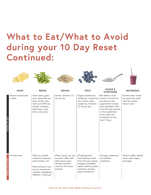## **What to Eat/What to Avoid during your 10 Day Reset Continued:**

| <b>DAIRY</b>                     | <b>BEANS</b>                                                                                                                                                            | <b>GRAINS</b>                                                                                                                           | <b>FRUIT</b>                                                                                                                                                                   | <b>SUGAR &amp;</b><br><b>SWEETENER</b>                                                                                                                                                                                     | <b>BEVERAGES</b>                                                                       |
|----------------------------------|-------------------------------------------------------------------------------------------------------------------------------------------------------------------------|-----------------------------------------------------------------------------------------------------------------------------------------|--------------------------------------------------------------------------------------------------------------------------------------------------------------------------------|----------------------------------------------------------------------------------------------------------------------------------------------------------------------------------------------------------------------------|----------------------------------------------------------------------------------------|
| Pasture-raised butter<br>or ghee | Green beans, green<br>peas, gluten-free soy<br>sauce, lentils, miso,<br>natto, non-GMO soy,<br>tempeh, chickpeas,<br>black beans, snap<br>beans, snow peas              | Quinoa, limited to 1/2<br>cup per day                                                                                                   | Organic blackberries,<br>blueberries, cranberries,<br>kiwi, lemons, limes,<br>raspberries, limited to<br>1/2 cup per day                                                       | *We added a small<br>amount of monk fruit<br>and stevia to the<br>supplements to make<br>them palatable. Other<br>than the small amounts<br>in the supplements,<br>avoid sugars and<br>sweeteners for the<br>next 10 days. | Purified water, herbal<br>tea, green tea, yerba<br>mate tea, seltzer,<br>mineral water |
| All other dairy                  | GMO soy, soymilk,<br>soybean oil, peanuts/<br>peanut butter, corn<br>*Avoid all beans if you<br>have an autoimmune<br>condition, prediabetes,<br>diabetes, or leaky gut | Wheat, barley, rye, rice,<br>amaranth, millet, teff,<br>spelt, kamut, oats/<br>oatmeal, semolina,<br>couscous, all sources<br>of gluten | All high-glycemic<br>fruits: Bananas, dried<br>fruit, fruit juice, grapes,<br>mangoes, pineapples,<br>apples, cherries, grapes,<br>nectarines, peaches,<br>pears, strawberries | All sugar, sweeteners,<br>and artificial<br>sweeteners                                                                                                                                                                     | Alcohol, coffee, bottled<br>water, soda, sugary<br>beverages                           |

 $\mathbf{A}$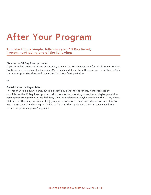# **After Your Program**

### **To make things simple, following your 10 Day Reset, I recommend doing one of the following:**

#### **Stay on the 10 Day Reset protocol.**

If you're feeling great, and want to continue, stay on the 10 Day Reset diet for an additional 10 days. Continue to have a shake for breakfast. Make lunch and dinner from the approved list of foods. Also, continue to prioritize sleep and honor the 12-14 hour fasting window.

**or** 

#### **Transition to the Pegan Diet.**

The Pegan Diet is a funny name, but it is essentially a way to eat for life. It incorporates the principles of the 10 Day Reset protocol with room for incorporating other foods. Maybe you add in some gluten-free grains or grass-fed dairy if you can tolerate it. Maybe you follow the 10 Day Reset diet most of the time, and you still enjoy a glass of wine with friends and dessert on occasion. To learn more about transitioning to the Pegan Diet and the supplements that we recommend long term, visit getfarmacy.com/pegandiet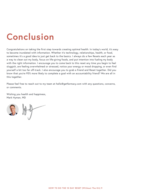# **Conclusion**

Congratulations on taking the first step towards creating optimal health. In today's world, it's easy to become inundated with information. Whether it's technology, relationships, health, or food, sometimes it's a good idea to just get back to the basics. I always do a few Resets each year as a way to clean out my body, focus on life-giving foods, and put intention into fueling my body with the right information. I encourage you to come back to this reset any time you begin to feel sluggish, are feeling overwhelmed or stressed, notice your energy or mood dropping, or even find yourself a bit too far off-track. I also encourage you to grab a friend and Reset together. Did you know that you're 95% more likely to complete a goal with an accountability friend? We are all in this together.

Please feel free to reach out to my team at hello@getfarmacy.com with any questions, concerns, or comments.

Wishing you health and happiness, Mark Hyman, MD